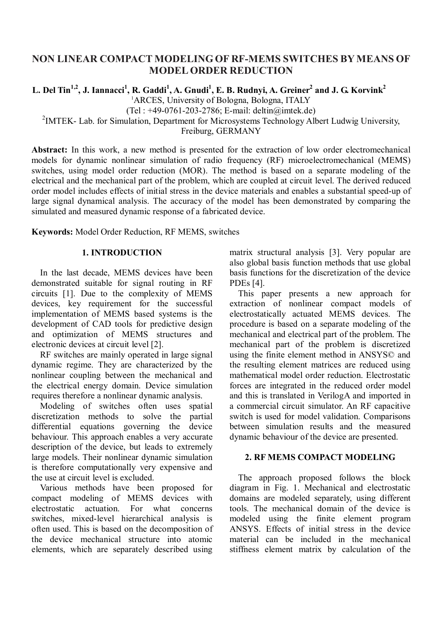# **NON LINEAR COMPACT MODELINGOF RF-MEMS SWITCHES BYMEANS OF MODEL ORDER REDUCTION**

 $L$ . Del Tin<sup>1,2</sup>, J. Iannacci<sup>1</sup>, R. Gaddi<sup>1</sup>, A. Gnudi<sup>1</sup>, E. B. Rudnyi, A. Greiner<sup>2</sup> and J. G. Korvink<sup>2</sup> <sup>1</sup>ARCES, University of Bologna, Bologna, ITALY (Tel : +49-0761-203-2786; E-mail: deltin@imtek.de)

<sup>2</sup>IMTEK- Lab. for Simulation, Department for Microsystems Technology Albert Ludwig University,

Freiburg, GERMANY

**Abstract:** In this work, a new method is presented for the extraction of low order electromechanical models for dynamic nonlinear simulation of radio frequency (RF) microelectromechanical (MEMS) switches, using model order reduction (MOR). The method is based on a separate modeling of the electrical and the mechanical part of the problem, which are coupled at circuit level. The derived reduced order model includes effects of initial stress in the device materials and enables a substantial speed-up of large signal dynamical analysis. The accuracy of the model has been demonstrated by comparing the simulated and measured dynamic response of a fabricated device.

**Keywords:** Model Order Reduction, RF MEMS, switches

## **1. INTRODUCTION**

In the last decade, MEMS devices have been demonstrated suitable for signal routing in RF circuits [1]. Due to the complexity of MEMS devices, key requirement for the successful implementation of MEMS based systems is the development of CAD tools for predictive design and optimization of MEMS structures and electronic devices at circuit level [2].

RF switches are mainly operated in large signal dynamic regime. They are characterized by the nonlinear coupling between the mechanical and the electrical energy domain. Device simulation requires therefore a nonlinear dynamic analysis.

Modeling of switches often uses spatial discretization methods to solve the partial differential equations governing the device behaviour. This approach enables a very accurate description of the device, but leads to extremely large models. Their nonlinear dynamic simulation is therefore computationally very expensive and the use at circuit level is excluded.

Various methods have been proposed for compact modeling of MEMS devices with electrostatic actuation. For what concerns switches, mixed-level hierarchical analysis is often used. This is based on the decomposition of the device mechanical structure into atomic elements, which are separately described using matrix structural analysis [3]. Very popular are also global basis function methods that use global basis functions for the discretization of the device PDEs [4].

This paper presents a new approach for extraction of nonlinear compact models of electrostatically actuated MEMS devices. The procedure is based on a separate modeling of the mechanical and electrical part of the problem. The mechanical part of the problem is discretized using the finite element method in ANSYS© and the resulting element matrices are reduced using mathematical model order reduction. Electrostatic forces are integrated in the reduced order model and this is translated in VerilogA and imported in a commercial circuit simulator. An RF capacitive switch is used for model validation. Comparisons between simulation results and the measured dynamic behaviour of the device are presented.

## **2. RF MEMS COMPACT MODELING**

The approach proposed follows the block diagram in Fig. 1. Mechanical and electrostatic domains are modeled separately, using different tools. The mechanical domain of the device is modeled using the finite element program ANSYS. Effects of initial stress in the device material can be included in the mechanical stiffness element matrix by calculation of the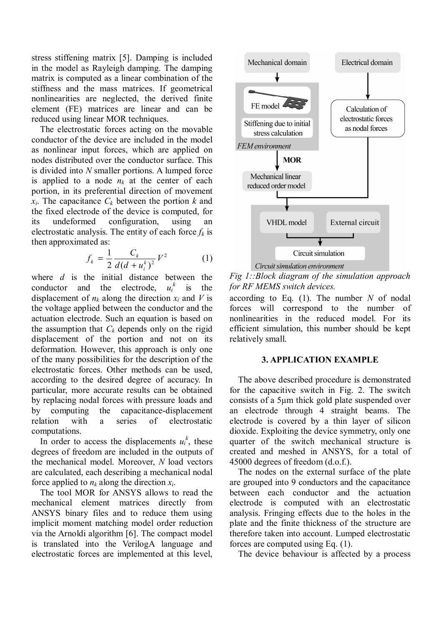stress stiffening matrix [5]. Damping is included in the model as Rayleigh damping. The damping matrix is computed as a linear combination of the stiffness and the mass matrices. If geometrical nonlinearities are neglected, the derived finite element (FE) matrices are linear and can be reduced using linear MOR techniques.

The electrostatic forces acting on the movable conductor of the device are included in the model as nonlinear input forces, which are applied on nodes distributed over the conductor surface. This is divided into *N* smaller portions. A lumped force is applied to a node  $n_k$  at the center of each portion, in its preferential direction of movement  $x_i$ . The capacitance  $C_k$  between the portion  $k$  and the fixed electrode of the device is computed, for its undeformed configuration, using an electrostatic analysis. The entity of each force  $f_k$  is then approximated as:

$$
f_k = \frac{1}{2} \frac{C_k}{d(d + u_i^k)^2} V^2
$$
 (1)

where *d* is the initial distance between the conductor and the electrode, *ui*  $u_i^k$  is the displacement of  $n_k$  along the direction  $x_i$  and V is the voltage applied between the conductor and the actuation electrode. Such an equation is based on the assumption that  $C_k$  depends only on the rigid displacement of the portion and not on its deformation. However, this approach is only one of the many possibilities for the description of the electrostatic forces. Other methods can be used, according to the desired degree of accuracy. In particular, more accurate results can be obtained by replacing nodal forces with pressure loads and by computing the capacitance-displacement relation with a series of electrostatic computations.

In order to access the displacements  $u_i^k$ , these degrees of freedom are included in the outputs of the mechanical model. Moreover, *N* load vectors are calculated, each describing a mechanical nodal force applied to  $n_k$  along the direction  $x_i$ .

The tool MOR for ANSYS allows to read the mechanical element matrices directly from ANSYS binary files and to reduce them using implicit moment matching model order reduction via the Arnoldi algorithm [6]. The compact model is translated into the VerilogA language and electrostatic forces are implemented at this level,



Circuit simulation environment

*Fig 1::Block diagram of the simulation approach for RF MEMS switch devices.* 

according to Eq. (1). The number *N* of nodal forces will correspond to the number of nonlinearities in the reduced model. For its efficient simulation, this number should be kept relatively small.

### **3. APPLICATION EXAMPLE**

The above described procedure is demonstrated for the capacitive switch in Fig. 2. The switch consists of a 5µm thick gold plate suspended over an electrode through 4 straight beams. The electrode is covered by a thin layer of silicon dioxide. Exploiting the device symmetry, only one quarter of the switch mechanical structure is created and meshed in ANSYS, for a total of 45000 degrees of freedom (d.o.f.).

The nodes on the external surface of the plate are grouped into 9 conductors and the capacitance between each conductor and the actuation electrode is computed with an electrostatic analysis. Fringing effects due to the holes in the plate and the finite thickness of the structure are therefore taken into account. Lumped electrostatic forces are computed using Eq. (1).

The device behaviour is affected by a process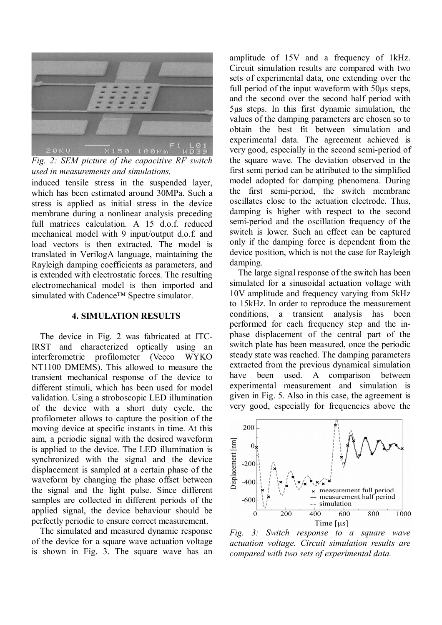

*Fig. 2: SEM picture of the capacitive RF switch used in measurements and simulations.* 

induced tensile stress in the suspended layer, which has been estimated around 30MPa. Such a stress is applied as initial stress in the device membrane during a nonlinear analysis preceding full matrices calculation. A 15 d.o.f. reduced mechanical model with 9 input/output d.o.f. and load vectors is then extracted. The model is translated in VerilogA language, maintaining the Rayleigh damping coefficients as parameters, and is extended with electrostatic forces. The resulting electromechanical model is then imported and simulated with Cadence™ Spectre simulator.

## **4. SIMULATION RESULTS**

The device in Fig. 2 was fabricated at ITC-IRST and characterized optically using an interferometric profilometer (Veeco WYKO NT1100 DMEMS). This allowed to measure the transient mechanical response of the device to different stimuli, which has been used for model validation. Using a stroboscopic LED illumination of the device with a short duty cycle, the profilometer allows to capture the position of the moving device at specific instants in time. At this aim, a periodic signal with the desired waveform is applied to the device. The LED illumination is synchronized with the signal and the device displacement is sampled at a certain phase of the waveform by changing the phase offset between the signal and the light pulse. Since different samples are collected in different periods of the applied signal, the device behaviour should be perfectly periodic to ensure correct measurement.

The simulated and measured dynamic response of the device for a square wave actuation voltage is shown in Fig. 3. The square wave has an amplitude of 15V and a frequency of 1kHz. Circuit simulation results are compared with two sets of experimental data, one extending over the full period of the input waveform with 50µs steps, and the second over the second half period with 5µs steps. In this first dynamic simulation, the values of the damping parameters are chosen so to obtain the best fit between simulation and experimental data. The agreement achieved is very good, especially in the second semi-period of the square wave. The deviation observed in the first semi period can be attributed to the simplified model adopted for damping phenomena. During the first semi-period, the switch membrane oscillates close to the actuation electrode. Thus, damping is higher with respect to the second semi-period and the oscillation frequency of the switch is lower. Such an effect can be captured only if the damping force is dependent from the device position, which is not the case for Rayleigh damping.

The large signal response of the switch has been simulated for a sinusoidal actuation voltage with 10V amplitude and frequency varying from 5kHz to 15kHz. In order to reproduce the measurement conditions, a transient analysis has been performed for each frequency step and the inphase displacement of the central part of the switch plate has been measured, once the periodic steady state was reached. The damping parameters extracted from the previous dynamical simulation have been used. A comparison between experimental measurement and simulation is given in Fig. 5. Also in this case, the agreement is very good, especially for frequencies above the



*Fig. 3: Switch response to a square wave actuation voltage. Circuit simulation results are compared with two sets of experimental data.*